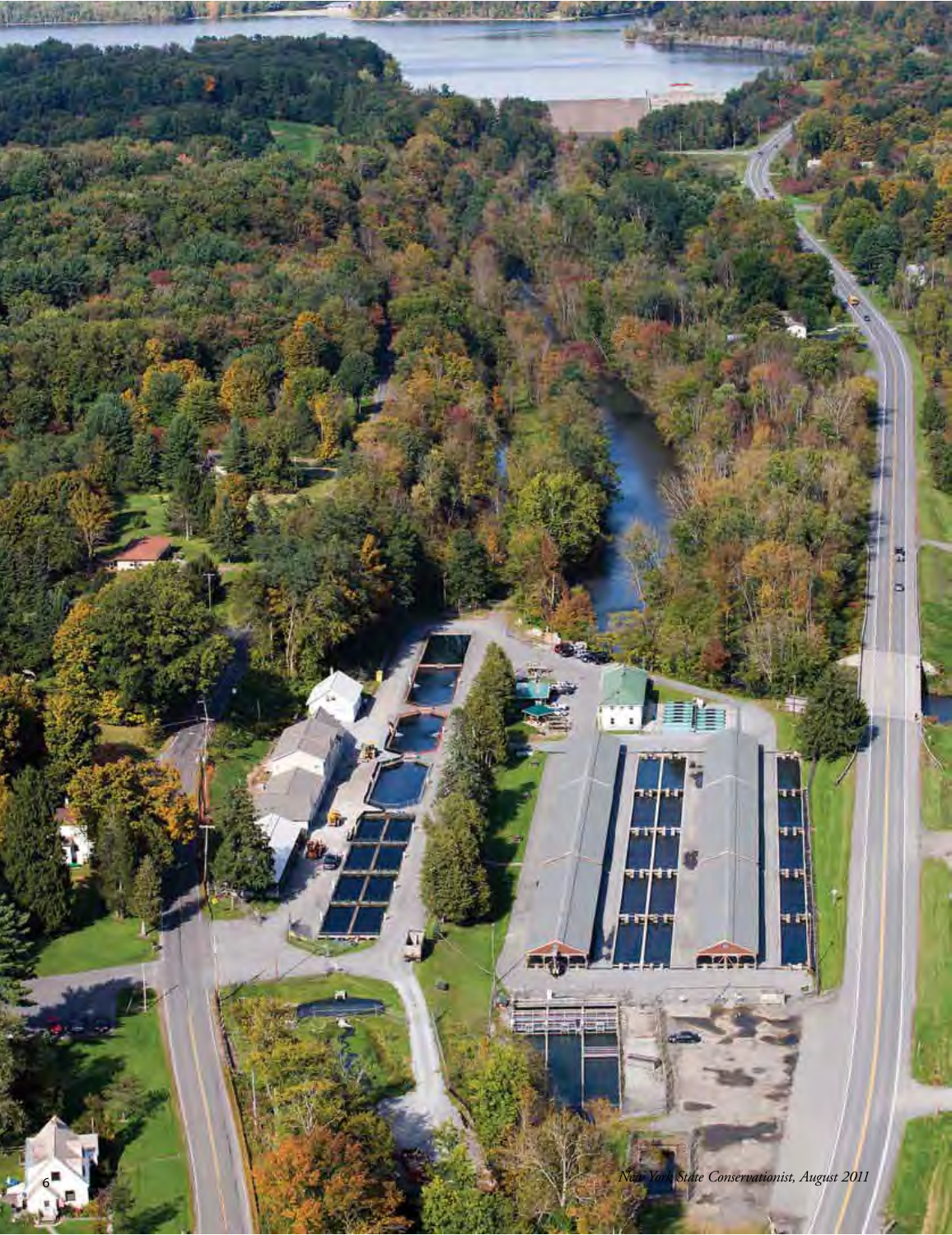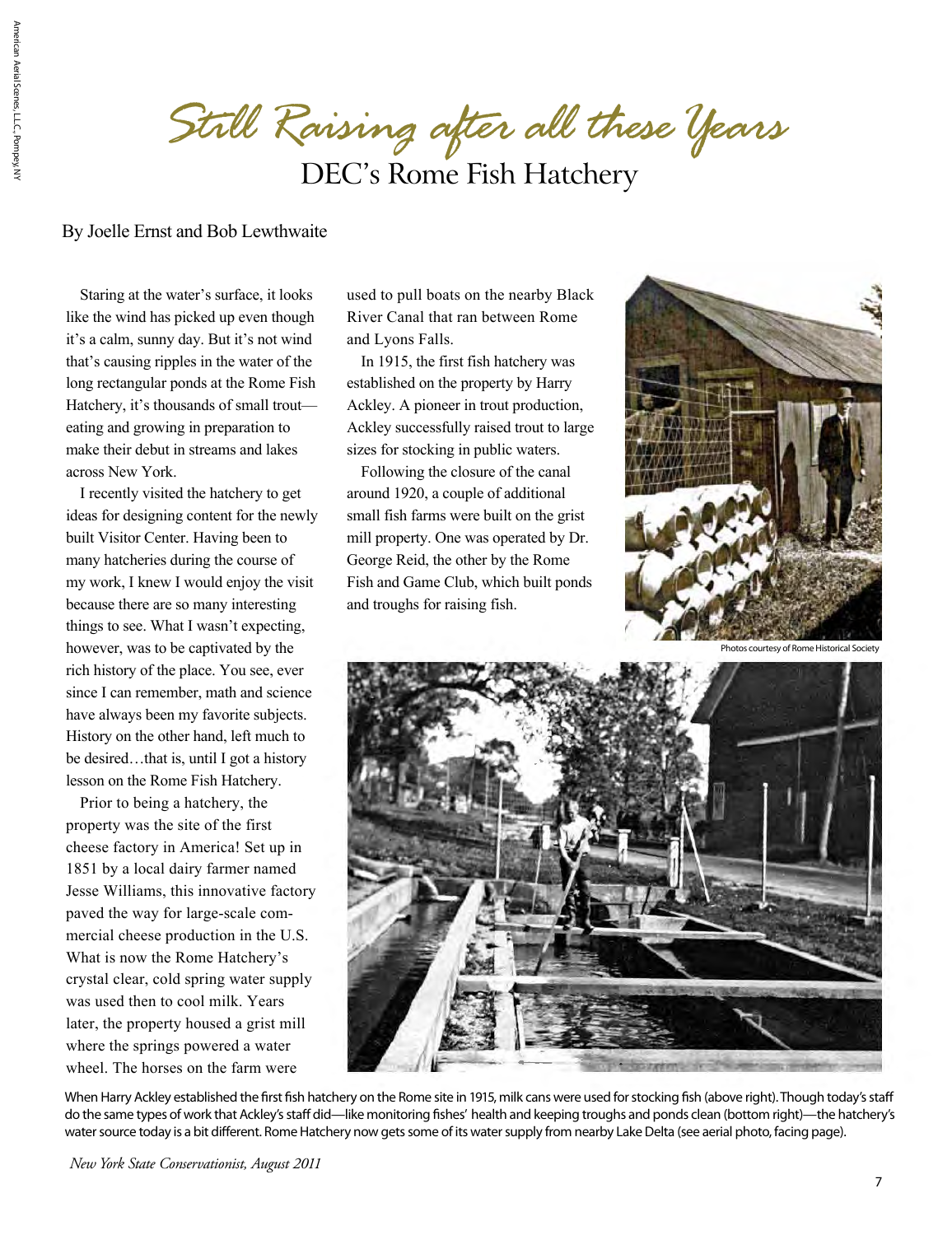American Aerial Scenes, L.L.C., Pompey, NY American Aerial Scenes, L.L.C., Pompey, NY



DEC's Rome Fish Hatchery

## By Joelle Ernst and Bob Lewthwaite

Staring at the water's surface, it looks like the wind has picked up even though it's a calm, sunny day. But it's not wind that's causing ripples in the water of the long rectangular ponds at the Rome Fish Hatchery, it's thousands of small trout eating and growing in preparation to make their debut in streams and lakes across New York.

I recently visited the hatchery to get ideas for designing content for the newly built Visitor Center. Having been to many hatcheries during the course of my work, I knew I would enjoy the visit because there are so many interesting things to see. What I wasn't expecting, however, was to be captivated by the rich history of the place. You see, ever since I can remember, math and science have always been my favorite subjects. History on the other hand, left much to be desired…that is, until I got a history lesson on the Rome Fish Hatchery.

Prior to being a hatchery, the property was the site of the first cheese factory in America! Set up in 1851 by a local dairy farmer named Jesse Williams, this innovative factory paved the way for large-scale commercial cheese production in the U.S. What is now the Rome Hatchery's crystal clear, cold spring water supply was used then to cool milk. Years later, the property housed a grist mill where the springs powered a water wheel. The horses on the farm were

used to pull boats on the nearby Black River Canal that ran between Rome and Lyons Falls.

In 1915, the first fish hatchery was established on the property by Harry Ackley. A pioneer in trout production, Ackley successfully raised trout to large sizes for stocking in public waters.

Following the closure of the canal around 1920, a couple of additional small fish farms were built on the grist mill property. One was operated by Dr. George Reid, the other by the Rome Fish and Game Club, which built ponds and troughs for raising fish.



Photos courtesy of Rome Historical Society



When Harry Ackley established the first fish hatchery on the Rome site in 1915, milk cans were used for stocking fish (above right). Though today's staff do the same types of work that Ackley's staf did—like monitoring fshes' health and keeping troughs and ponds clean (bottom right)—the hatchery's water source today is a bit diferent. Rome Hatchery now gets some of its water supply from nearby Lake Delta (see aerial photo, facing page).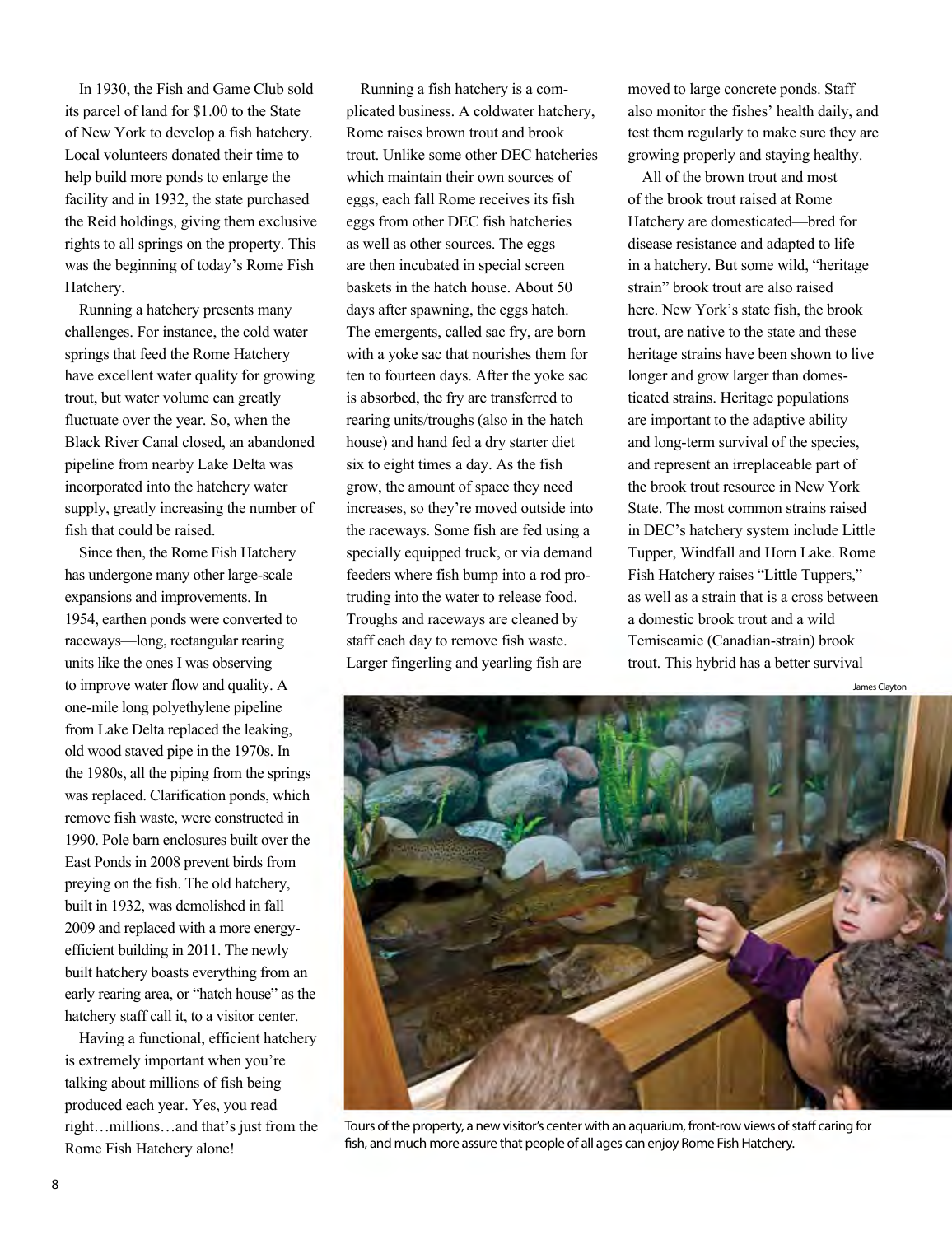In 1930, the Fish and Game Club sold its parcel of land for \$1.00 to the State of New York to develop a fish hatchery. Local volunteers donated their time to help build more ponds to enlarge the facility and in 1932, the state purchased the Reid holdings, giving them exclusive rights to all springs on the property. This was the beginning of today's Rome Fish Hatchery.

Running a hatchery presents many challenges. For instance, the cold water springs that feed the Rome Hatchery have excellent water quality for growing trout, but water volume can greatly fluctuate over the year. So, when the Black River Canal closed, an abandoned pipeline from nearby Lake Delta was incorporated into the hatchery water supply, greatly increasing the number of fish that could be raised.

Since then, the Rome Fish Hatchery has undergone many other large-scale expansions and improvements. In 1954, earthen ponds were converted to raceways—long, rectangular rearing units like the ones I was observing to improve water flow and quality. A one-mile long polyethylene pipeline from Lake Delta replaced the leaking, old wood staved pipe in the 1970s. In the 1980s, all the piping from the springs was replaced. Clarification ponds, which remove fish waste, were constructed in 1990. Pole barn enclosures built over the East Ponds in 2008 prevent birds from preying on the fish. The old hatchery, built in 1932, was demolished in fall 2009 and replaced with a more energyefficient building in 2011. The newly built hatchery boasts everything from an early rearing area, or "hatch house" as the hatchery staff call it, to a visitor center.

Having a functional, efficient hatchery is extremely important when you're talking about millions of fish being produced each year. Yes, you read

Running a fish hatchery is a complicated business. A coldwater hatchery, Rome raises brown trout and brook trout. Unlike some other DEC hatcheries which maintain their own sources of eggs, each fall Rome receives its fish eggs from other DEC fish hatcheries as well as other sources. The eggs are then incubated in special screen baskets in the hatch house. About 50 days after spawning, the eggs hatch. The emergents, called sac fry, are born with a yoke sac that nourishes them for ten to fourteen days. After the yoke sac is absorbed, the fry are transferred to rearing units/troughs (also in the hatch house) and hand fed a dry starter diet six to eight times a day. As the fish grow, the amount of space they need increases, so they're moved outside into the raceways. Some fish are fed using a specially equipped truck, or via demand feeders where fish bump into a rod protruding into the water to release food. Troughs and raceways are cleaned by staff each day to remove fish waste. Larger fingerling and yearling fish are

moved to large concrete ponds. Staff also monitor the fishes' health daily, and test them regularly to make sure they are growing properly and staying healthy.

All of the brown trout and most of the brook trout raised at Rome Hatchery are domesticated—bred for disease resistance and adapted to life in a hatchery. But some wild, "heritage strain" brook trout are also raised here. New York's state fish, the brook trout, are native to the state and these heritage strains have been shown to live longer and grow larger than domesticated strains. Heritage populations are important to the adaptive ability and long-term survival of the species, and represent an irreplaceable part of the brook trout resource in New York State. The most common strains raised in DEC's hatchery system include Little Tupper, Windfall and Horn Lake. Rome Fish Hatchery raises "Little Tuppers," as well as a strain that is a cross between a domestic brook trout and a wild Temiscamie (Canadian-strain) brook trout. This hybrid has a better survival

James Clayton



right…millions…and that's just from the Tours of the property, a new visitor's center with an aquarium, front-row views of staf caring for Fish Hatchery alone! fish, and much more assure that people of all ages can enjoy Rome Fish Hatchery.